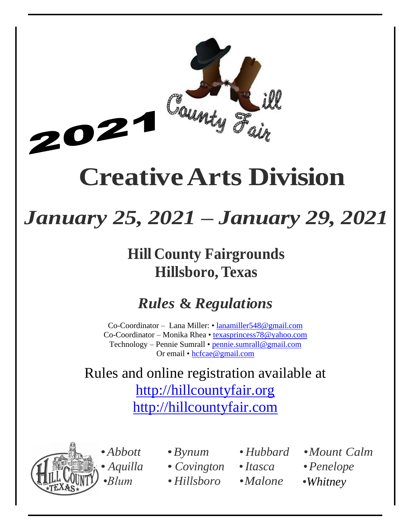

# **CreativeArts Division**

# *January 25, 2021 – January 29, 2021*

# **Hill County Fairgrounds Hillsboro, Texas**

# *Rules* **&** *Regulations*

Co-Coordinator – Lana Miller: • lanamiller548@gmail.com Co-Coordinator – Monika Rhea • texasprincess78@yahoo.com Technology – Pennie Sumrall • [pennie.sumrall@gmail.com](mailto:pennie.sumrall@gmail.com) Or email • hcfcae@gmail.com

Rules and online registration available at [http://hillcountyfair.org](http://hillcountyfair.org/) [http://hillcountyfair.com](http://hillcountyfair.com/)



- 
- *Aquilla Covington* •*Itasca* •*Penelope*
- *•Blum • Hillsboro •Malone* •*Whitney*
- •*Abbott* •*Bynum • Hubbard •Mount Calm*
	-
- 
- 
-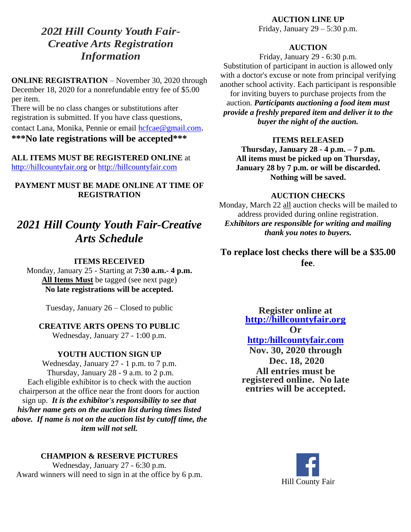# *2021Hill County Youth Fair-Creative Arts Registration Information*

**ONLINE REGISTRATION** – November 30, 2020 through December 18, 2020 for a nonrefundable entry fee of \$5.00 per item.

There will be no class changes or substitutions after registration is submitted. If you have class questions, contact Lana, Monika, Pennie or email [hcfcae@gmail.com](mailto:hcfcae@gmail.com). **\*\*\*No late registrations will be accepted\*\*\***

**ALL ITEMS MUST BE REGISTERED ONLINE** at [http://hillcountyfair.org](http://hillcountyfair.org/) or http://hillcountyfair.com

**PAYMENT MUST BE MADE ONLINE AT TIME OF REGISTRATION**

# *2021 Hill County Youth Fair-Creative Arts Schedule*

#### **ITEMS RECEIVED**

Monday, January 25 - Starting at **7:30 a.m.- 4 p.m. All Items Must** be tagged (see next page) **No late registrations will be accepted.**

Tuesday, January 26 – Closed to public

## **CREATIVE ARTS OPENS TO PUBLIC**

Wednesday, January 27 - 1:00 p.m.

#### **YOUTH AUCTION SIGN UP**

Wednesday, January 27 - 1 p.m. to 7 p.m. Thursday, January 28 - 9 a.m. to 2 p.m. Each eligible exhibitor is to check with the auction chairperson at the office near the front doors for auction sign up. *It is the exhibitor's responsibility to see that his/her name gets on the auction list during times listed above. If name is not on the auction list by cutoff time, the item will not sell.*

#### **CHAMPION & RESERVE PICTURES**

Wednesday, January 27 - 6:30 p.m. Award winners will need to sign in at the office by 6 p.m.

#### **AUCTION LINE UP**

Friday, January  $29 - 5:30$  p.m.

#### **AUCTION**

Friday, January 29 - 6:30 p.m. Substitution of participant in auction is allowed only with a doctor's excuse or note from principal verifying another school activity. Each participant is responsible for inviting buyers to purchase projects from the auction. *Participants auctioning a food item must provide a freshly prepared item and deliver it to the buyer the night of the auction.*

#### **ITEMS RELEASED**

**Thursday, January 28 - 4 p.m. – 7 p.m. All items must be picked up on Thursday, January 28 by 7 p.m. or will be discarded. Nothing will be saved.**

#### **AUCTION CHECKS**

Monday, March 22 all auction checks will be mailed to address provided during online registration. *Exhibitors are responsible for writing and mailing thank you notes to buyers.*

**To replace lost checks there will be a \$35.00 fee**.

> **Register online at [http://hillcountyfair.org](http://hillcountyfair.org/)**

**Or**

# **http:/hillcountyfair.com**

**Nov. 30, 2020 through Dec. 18, 2020 All entries must be registered online. No late entries will be accepted.**

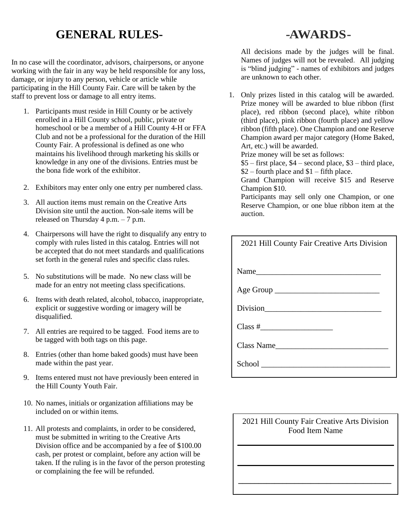# **GENERAL RULES-**

In no case will the coordinator, advisors, chairpersons, or anyone working with the fair in any way be held responsible for any loss, damage, or injury to any person, vehicle or article while participating in the Hill County Fair. Care will be taken by the staff to prevent loss or damage to all entry items.

- 1. Participants must reside in Hill County or be actively enrolled in a Hill County school, public, private or homeschool or be a member of a Hill County 4-H or FFA Club and not be a professional for the duration of the Hill County Fair. A professional is defined as one who maintains his livelihood through marketing his skills or knowledge in any one of the divisions. Entries must be the bona fide work of the exhibitor.
- 2. Exhibitors may enter only one entry per numbered class.
- 3. All auction items must remain on the Creative Arts Division site until the auction. Non-sale items will be released on Thursday 4 p.m. – 7 p.m.
- 4. Chairpersons will have the right to disqualify any entry to comply with rules listed in this catalog. Entries will not be accepted that do not meet standards and qualifications set forth in the general rules and specific class rules.
- 5. No substitutions will be made. No new class will be made for an entry not meeting class specifications.
- 6. Items with death related, alcohol, tobacco, inappropriate, explicit or suggestive wording or imagery will be disqualified.
- 7. All entries are required to be tagged. Food items are to be tagged with both tags on this page.
- 8. Entries (other than home baked goods) must have been made within the past year.
- 9. Items entered must not have previously been entered in the Hill County Youth Fair.
- 10. No names, initials or organization affiliations may be included on or within items.
- 11. All protests and complaints, in order to be considered, must be submitted in writing to the Creative Arts Division office and be accompanied by a fee of \$100.00 cash, per protest or complaint, before any action will be taken. If the ruling is in the favor of the person protesting or complaining the fee will be refunded.

# **-AWARDS-**

All decisions made by the judges will be final. Names of judges will not be revealed. All judging is "blind judging" - names of exhibitors and judges are unknown to each other.

1. Only prizes listed in this catalog will be awarded. Prize money will be awarded to blue ribbon (first place), red ribbon (second place), white ribbon (third place), pink ribbon (fourth place) and yellow ribbon (fifth place). One Champion and one Reserve Champion award per major category (Home Baked, Art, etc.) will be awarded.

Prize money will be set as follows:

 $$5$  – first place,  $$4$  – second place,  $$3$  – third place,

 $$2$  – fourth place and  $$1$  – fifth place.

Grand Champion will receive \$15 and Reserve Champion \$10.

Participants may sell only one Champion, or one Reserve Champion, or one blue ribbon item at the auction.

| 2021 Hill County Fair Creative Arts Division |
|----------------------------------------------|
| Name                                         |
|                                              |
|                                              |
|                                              |
| Class Name                                   |
|                                              |

# 2021 Hill County Fair Creative Arts Division Food Item Name

**\_\_\_\_\_\_\_\_\_\_\_\_\_\_\_\_\_\_\_\_\_\_\_\_\_\_\_\_\_\_\_\_\_\_\_\_\_\_**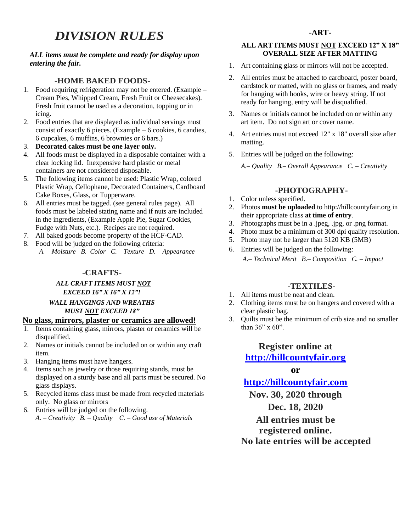# *DIVISION RULES*

#### *ALL items must be complete and ready for display upon entering the fair.*

#### -**HOME BAKED FOODS**-

- 1. Food requiring refrigeration may not be entered. (Example Cream Pies, Whipped Cream, Fresh Fruit or Cheesecakes). Fresh fruit cannot be used as a decoration, topping or in icing.
- 2. Food entries that are displayed as individual servings must consist of exactly 6 pieces. (Example – 6 cookies, 6 candies, 6 cupcakes, 6 muffins, 6 brownies or 6 bars.)
- 3. **Decorated cakes must be one layer only.**
- 4. All foods must be displayed in a disposable container with a clear locking lid. Inexpensive hard plastic or metal containers are not considered disposable.
- 5. The following items cannot be used: Plastic Wrap, colored Plastic Wrap, Cellophane, Decorated Containers, Cardboard Cake Boxes, Glass, or Tupperware.
- 6. All entries must be tagged. (see general rules page). All foods must be labeled stating name and if nuts are included in the ingredients, (Example Apple Pie, Sugar Cookies, Fudge with Nuts, etc.). Recipes are not required.
- 7. All baked goods become property of the HCF-CAD.
- 8. Food will be judged on the following criteria: *A. – Moisture B.–Color C. – Texture D. – Appearance*

#### -**CRAFTS**-

#### *ALL CRAFT ITEMS MUST NOT EXCEED 16" X 16" X 12"!*

#### *WALL HANGINGS AND WREATHS MUST NOT EXCEED 18"*

#### **No glass, mirrors, plaster or ceramics are allowed!**

- 1. Items containing glass, mirrors, plaster or ceramics will be disqualified.
- 2. Names or initials cannot be included on or within any craft item.
- 3. Hanging items must have hangers.
- 4. Items such as jewelry or those requiring stands, must be displayed on a sturdy base and all parts must be secured. No glass displays.
- 5. Recycled items class must be made from recycled materials only. No glass or mirrors
- 6. Entries will be judged on the following.
	- *A. – Creativity B. – Quality C. – Good use of Materials*

#### **ALL ART ITEMS MUST NOT EXCEED 12" X 18" OVERALL SIZE AFTER MATTING**

- 1. Art containing glass or mirrors will not be accepted.
- 2. All entries must be attached to cardboard, poster board, cardstock or matted, with no glass or frames, and ready for hanging with hooks, wire or heavy string. If not ready for hanging, entry will be disqualified.
- 3. Names or initials cannot be included on or within any art item. Do not sign art or cover name.
- 4. Art entries must not exceed 12" x 18" overall size after matting.
- 5. Entries will be judged on the following:

*A.– Quality B.– Overall Appearance C. – Creativity*

#### **-PHOTOGRAPHY-**

- 1. Color unless specified.
- 2. Photos **must be uploaded** to http://hillcountyfair.org in their appropriate class **at time of entry**.
- 3. Photographs must be in a .jpeg, .jpg, or .png format.
- 4. Photo must be a minimum of 300 dpi quality resolution.
- 5. Photo may not be larger than 5120 KB (5MB)
- 6. Entries will be judged on the following: *A.– Technical Merit B.– Composition C. – Impact*

#### **-TEXTILES-**

- 1. All items must be neat and clean.
- 2. Clothing items must be on hangers and covered with a clear plastic bag.
- 3. Quilts must be the minimum of crib size and no smaller than  $36$ " x  $60$ ".

## **Register online at [http://hillcountyfair.org](http://hillcountyfair.org/)**

#### **or**

## **http://hillcountyfair.com**

**Nov. 30, 2020 through Dec. 18, 2020**

**All entries must be registered online. No late entries will be accepted**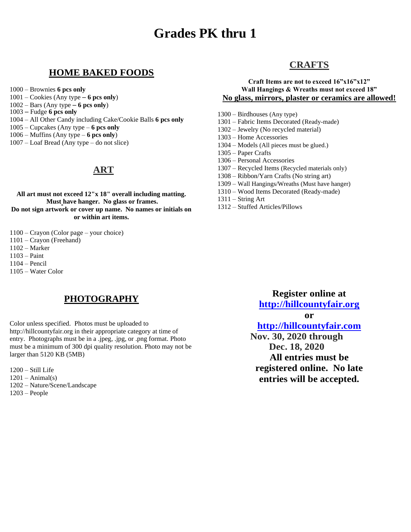# **Grades PK thru 1**

### **HOME BAKED FOODS**

- 1000 Brownies **6 pcs only**
- 1001 Cookies (Any type **6 pcs only**)
- 1002 Bars (Any type **6 pcs only**)
- 1003 Fudge **6 pcs only**
- 1004 All Other Candy including Cake/Cookie Balls **6 pcs only**
- 1005 Cupcakes (Any type **6 pcs only**
- 1006 Muffins (Any type **6 pcs only**)
- 1007 Loaf Bread (Any type do not slice)

# **ART**

**All art must not exceed 12"x 18" overall including matting. Must have hanger. No glass or frames. Do not sign artwork or cover up name. No names or initials on or within art items.**

- 1100 Crayon (Color page your choice)
- 1101 Crayon (Freehand)
- 1102 Marker
- 1103 Paint
- 1104 Pencil
- 1105 Water Color

# **PHOTOGRAPHY**

Color unless specified. Photos must be uploaded to http://hillcountyfair.org in their appropriate category at time of entry. Photographs must be in a .jpeg, .jpg, or .png format. Photo must be a minimum of 300 dpi quality resolution. Photo may not be larger than 5120 KB (5MB)

1200 – Still Life  $1201 - Animal(s)$ 1202 – Nature/Scene/Landscape 1203 – People

## **CRAFTS**

#### **Craft Items are not to exceed 16"x16"x12" Wall Hangings & Wreaths must not exceed 18" No glass, mirrors, plaster or ceramics are allowed!**

- 1300 Birdhouses (Any type)
- 1301 Fabric Items Decorated (Ready-made)
- 1302 Jewelry (No recycled material)
- 1303 Home Accessories
- 1304 Models (All pieces must be glued.)
- 1305 Paper Crafts
- 1306 Personal Accessories
- 1307 Recycled Items (Recycled materials only)
- 1308 Ribbon/Yarn Crafts (No string art)
- 1309 Wall Hangings/Wreaths (Must have hanger)
- 1310 Wood Items Decorated (Ready-made)
- $1311 -$ String Art
- 1312 Stuffed Articles/Pillows

**Register online at [http://hillcountyfair.org](http://hillcountyfair.org/)**

**or**

# **[http://hillcountyfair.com](http://hillcountyfair.com/) Nov. 30, 2020 through Dec. 18, 2020 All entries must be registered online. No late**

**entries will be accepted.**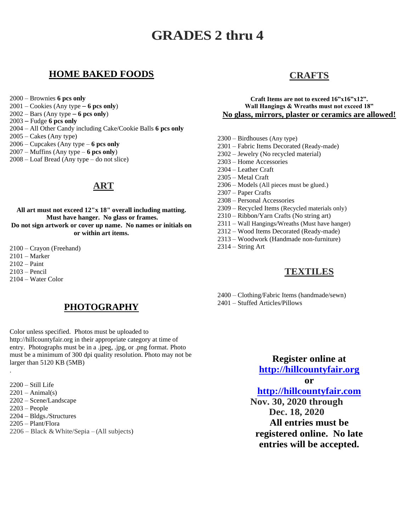# **GRADES 2 thru 4**

## **HOME BAKED FOODS**

2000 – Brownies **6 pcs only**

- 2001 Cookies (Any type **6 pcs only**)
- 2002 Bars (Any type **6 pcs only**)
- 2003 Fudge **6 pcs only**
- 2004 All Other Candy including Cake/Cookie Balls **6 pcs only**
- $2005 -$ Cakes (Any type)
- 2006 Cupcakes (Any type **6 pcs only**
- 2007 Muffins (Any type **6 pcs only**)
- 2008 Loaf Bread (Any type do not slice)

# **ART**

**All art must not exceed 12"x 18" overall including matting. Must have hanger. No glass or frames. Do not sign artwork or cover up name. No names or initials on or within art items.**

2100 – Crayon (Freehand) 2101 – Marker 2102 – Paint 2103 – Pencil 2104 – Water Color

.

# **PHOTOGRAPHY**

Color unless specified. Photos must be uploaded to http://hillcountyfair.org in their appropriate category at time of entry. Photographs must be in a .jpeg, .jpg, or .png format. Photo must be a minimum of 300 dpi quality resolution. Photo may not be larger than 5120 KB (5MB)

- 2200 Still Life  $2201 - Animal(s)$ 2202 – Scene/Landscape 2203 – People 2204 – Bldgs./Structures 2205 – Plant/Flora
- $2206 Black & White/Sepia (All subjects)$

# **CRAFTS**

#### **Craft Items are not to exceed 16"x16"x12". Wall Hangings & Wreaths must not exceed 18" No glass, mirrors, plaster or ceramics are allowed!**

- 2300 Birdhouses (Any type)
- 2301 Fabric Items Decorated (Ready-made)
- 2302 Jewelry (No recycled material)
- 2303 Home Accessories
- 2304 Leather Craft
- 2305 Metal Craft
- 2306 Models (All pieces must be glued.)
- 2307 Paper Crafts
- 2308 Personal Accessories
- 2309 Recycled Items (Recycled materials only)
- 2310 Ribbon/Yarn Crafts (No string art)
- 2311 Wall Hangings/Wreaths (Must have hanger)
- 2312 Wood Items Decorated (Ready-made)
- 2313 Woodwork (Handmade non-furniture)
- 2314 String Art

## **TEXTILES**

2400 – Clothing/Fabric Items (handmade/sewn) 2401 – Stuffed Articles/Pillows

> **Register online at [http://hillcountyfair.org](http://hillcountyfair.org/) or**

**[http://hillcountyfair.com](http://hillcountyfair.com/)**

**Nov. 30, 2020 through Dec. 18, 2020 All entries must be registered online. No late entries will be accepted.**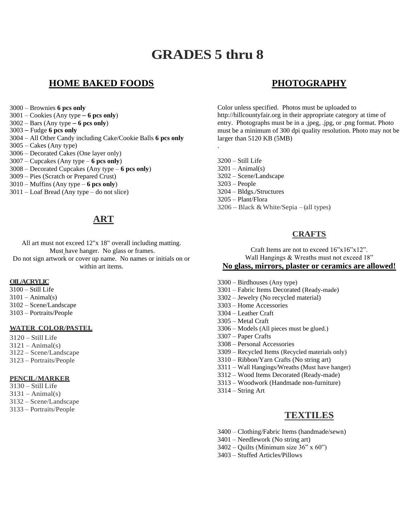# **GRADES 5 thru 8**

.

# **HOME BAKED FOODS**

3000 – Brownies **6 pcs only**

3001 – Cookies (Any type – **6 pcs only**)

3002 – Bars (Any type – **6 pcs only**)

3003 – Fudge **6 pcs only**

- 3004 All Other Candy including Cake/Cookie Balls **6 pcs only**
- 3005 Cakes (Any type)

3006 – Decorated Cakes (One layer only)

3007 – Cupcakes (Any type – **6 pcs only**)

- 3008 Decorated Cupcakes (Any type **6 pcs only**)
- 3009 Pies (Scratch or Prepared Crust)

3010 – Muffins (Any type – **6 pcs only**)

3011 – Loaf Bread (Any type – do not slice)

# **ART**

All art must not exceed 12"x 18" overall including matting. Must have hanger. No glass or frames. Do not sign artwork or cover up name. No names or initials on or within art items.

#### **OIL/ACRYLIC**

3100 – Still Life  $3101 - Animal(s)$ 3102 – Scene/Landscape 3103 – Portraits/People

#### **WATER COLOR/PASTEL**

 – Still Life  $3121 - Animal(s)$  – Scene/Landscape – Portraits/People

#### **PENCIL/MARKER**

- 3130 Still Life  $3131 - Animal(s)$
- 3132 Scene/Landscape
- 3133 Portraits/People

# **PHOTOGRAPHY**

Color unless specified. Photos must be uploaded to http://hillcountyfair.org in their appropriate category at time of entry. Photographs must be in a .jpeg, .jpg, or .png format. Photo must be a minimum of 300 dpi quality resolution. Photo may not be larger than 5120 KB (5MB)

3200 – Still Life  $3201 - Animal(s)$ 3202 – Scene/Landscape 3203 – People 3204 – Bldgs./Structures 3205 – Plant/Flora  $3206 - Black & White/Sepia - (all types)$ 

## **CRAFTS**

Craft Items are not to exceed 16"x16"x12". Wall Hangings & Wreaths must not exceed 18" **No glass, mirrors, plaster or ceramics are allowed!**

- 3300 Birdhouses (Any type)
- 3301 Fabric Items Decorated (Ready-made)
- 3302 Jewelry (No recycled material)
- 3303 Home Accessories
- 3304 Leather Craft
- 3305 Metal Craft
- 3306 Models (All pieces must be glued.)
- 3307 Paper Crafts
- 3308 Personal Accessories
- 3309 Recycled Items (Recycled materials only)
- 3310 Ribbon/Yarn Crafts (No string art)
- 3311 Wall Hangings/Wreaths (Must have hanger)
- 3312 Wood Items Decorated (Ready-made)
- 3313 Woodwork (Handmade non-furniture)
- 3314 String Art

## **TEXTILES**

- 3400 Clothing/Fabric Items (handmade/sewn)
- 3401 Needlework (No string art)
- $3402 -$  Quilts (Minimum size  $36"$  x  $60"$ )
- 3403 Stuffed Articles/Pillows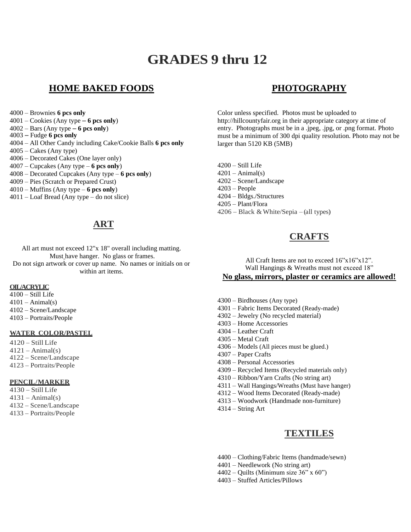# **GRADES 9 thru 12**

## **HOME BAKED FOODS**

- 4000 Brownies **6 pcs only**
- 4001 Cookies (Any type **6 pcs only**)
- 4002 Bars (Any type **6 pcs only**)
- 4003 Fudge **6 pcs only**
- 4004 All Other Candy including Cake/Cookie Balls **6 pcs only**
- $4005 -$ Cakes (Any type)
- 4006 Decorated Cakes (One layer only)
- 4007 Cupcakes (Any type **6 pcs only**)
- 4008 Decorated Cupcakes (Any type **6 pcs only**)
- 4009 Pies (Scratch or Prepared Crust)
- 4010 Muffins (Any type **6 pcs only**)
- 4011 Loaf Bread (Any type do not slice)

# **ART**

All art must not exceed 12"x 18" overall including matting. Must have hanger. No glass or frames. Do not sign artwork or cover up name. No names or initials on or within art items.

#### **OIL/ACRYLIC**

4100 – Still Life  $4101 - Animal(s)$ 4102 – Scene/Landscape 4103 – Portraits/People

#### **WATER COLOR/PASTEL**

 – Still Life  $4121 - Animal(s)$  – Scene/Landscape – Portraits/People

#### **PENCIL/MARKER**

 – Still Life  $4131 - Animal(s)$  – Scene/Landscape – Portraits/People

# **PHOTOGRAPHY**

Color unless specified. Photos must be uploaded to http://hillcountyfair.org in their appropriate category at time of entry. Photographs must be in a .jpeg, .jpg, or .png format. Photo must be a minimum of 300 dpi quality resolution. Photo may not be larger than 5120 KB (5MB)

4200 – Still Life  $4201 - Animal(s)$ 4202 – Scene/Landscape 4203 – People 4204 – Bldgs./Structures 4205 – Plant/Flora  $4206 - Black & White/Sepia - (all types)$ 

## **CRAFTS**

All Craft Items are not to exceed  $16"x16"x12"$ . Wall Hangings & Wreaths must not exceed 18" **No glass, mirrors, plaster or ceramics are allowed!**

- 4300 Birdhouses (Any type)
- 4301 Fabric Items Decorated (Ready-made)
- 4302 Jewelry (No recycled material)
- 4303 Home Accessories
- 4304 Leather Craft
- 4305 Metal Craft
- 4306 Models (All pieces must be glued.)
- 4307 Paper Crafts
- 4308 Personal Accessories
- 4309 Recycled Items (Recycled materials only)
- 4310 Ribbon/Yarn Crafts (No string art)
- 4311 Wall Hangings/Wreaths (Must have hanger)
- 4312 Wood Items Decorated (Ready-made)
- 4313 Woodwork (Handmade non-furniture)
- 4314 String Art

## **TEXTILES**

- 4400 Clothing/Fabric Items (handmade/sewn)
- 4401 Needlework (No string art)
- $4402 -$  Quilts (Minimum size 36" x 60")
- 4403 Stuffed Articles/Pillows